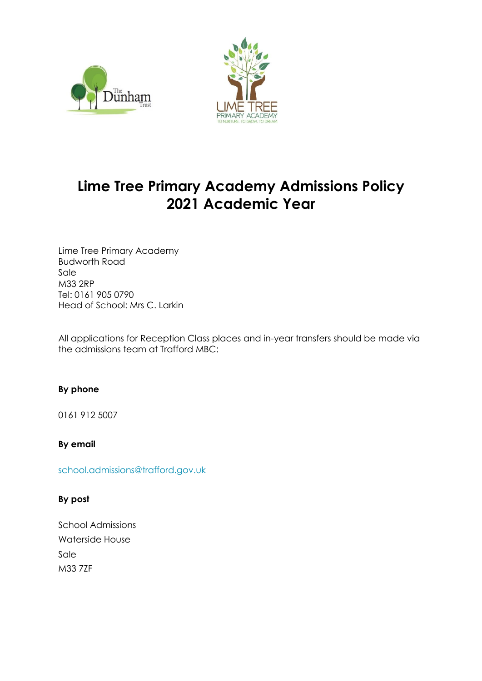



# **Lime Tree Primary Academy Admissions Policy 2021 Academic Year**

Lime Tree Primary Academy Budworth Road Sale M33 2RP Tel: 0161 905 0790 Head of School: Mrs C. Larkin

All applications for Reception Class places and in-year transfers should be made via the admissions team at Trafford MBC:

# **By phone**

0161 912 5007

**By email**

[school.admissions@trafford.gov.uk](http://www.trafford.gov.uk/residents/contacts/school-admissions.aspx#contensis)

#### **By post**

School Admissions Waterside House Sale M33 7ZF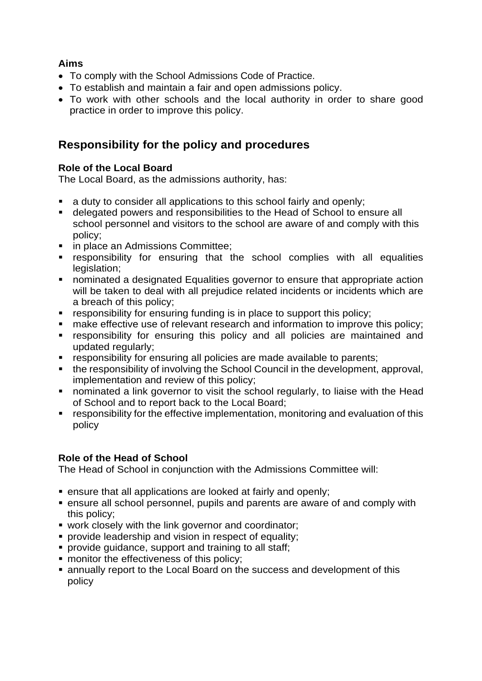# **Aims**

- To comply with the School Admissions Code of Practice.
- To establish and maintain a fair and open admissions policy.
- To work with other schools and the local authority in order to share good practice in order to improve this policy.

# **Responsibility for the policy and procedures**

# **Role of the Local Board**

The Local Board, as the admissions authority, has:

- a duty to consider all applications to this school fairly and openly;
- delegated powers and responsibilities to the Head of School to ensure all school personnel and visitors to the school are aware of and comply with this policy;
- **in place an Admissions Committee;**
- responsibility for ensuring that the school complies with all equalities legislation:
- nominated a designated Equalities governor to ensure that appropriate action will be taken to deal with all prejudice related incidents or incidents which are a breach of this policy;
- **•** responsibility for ensuring funding is in place to support this policy;
- make effective use of relevant research and information to improve this policy;
- responsibility for ensuring this policy and all policies are maintained and updated regularly;
- **EX FE** responsibility for ensuring all policies are made available to parents;
- the responsibility of involving the School Council in the development, approval, implementation and review of this policy;
- **nominated a link governor to visit the school regularly, to liaise with the Head** of School and to report back to the Local Board;
- responsibility for the effective implementation, monitoring and evaluation of this policy

# **Role of the Head of School**

The Head of School in conjunction with the Admissions Committee will:

- ensure that all applications are looked at fairly and openly;
- ensure all school personnel, pupils and parents are aware of and comply with this policy;
- work closely with the link governor and coordinator;
- **provide leadership and vision in respect of equality;**
- **provide guidance, support and training to all staff;**
- **nance in the effectiveness of this policy;**
- annually report to the Local Board on the success and development of this policy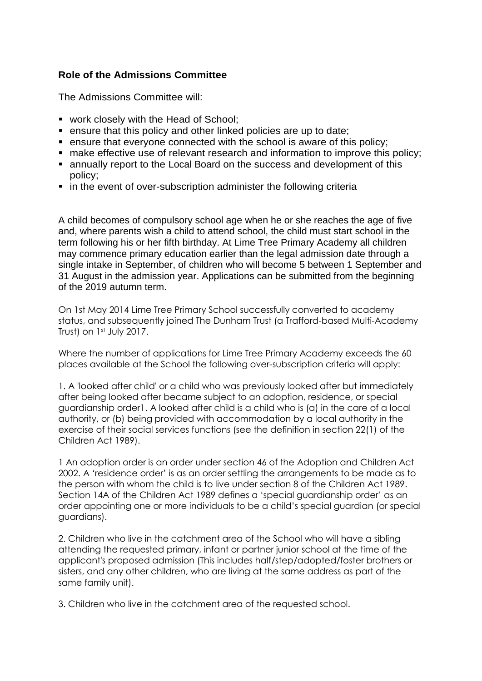### **Role of the Admissions Committee**

The Admissions Committee will:

- **work closely with the Head of School;**
- ensure that this policy and other linked policies are up to date;
- **EXECT:** ensure that everyone connected with the school is aware of this policy;
- make effective use of relevant research and information to improve this policy;
- annually report to the Local Board on the success and development of this policy;
- **in the event of over-subscription administer the following criteria**

A child becomes of compulsory school age when he or she reaches the age of five and, where parents wish a child to attend school, the child must start school in the term following his or her fifth birthday. At Lime Tree Primary Academy all children may commence primary education earlier than the legal admission date through a single intake in September, of children who will become 5 between 1 September and 31 August in the admission year. Applications can be submitted from the beginning of the 2019 autumn term.

On 1st May 2014 Lime Tree Primary School successfully converted to academy status, and subsequently joined The Dunham Trust (a Trafford-based Multi-Academy Trust) on 1st July 2017.

Where the number of applications for Lime Tree Primary Academy exceeds the 60 places available at the School the following over-subscription criteria will apply:

1. A 'looked after child' or a child who was previously looked after but immediately after being looked after became subject to an adoption, residence, or special guardianship order1. A looked after child is a child who is (a) in the care of a local authority, or (b) being provided with accommodation by a local authority in the exercise of their social services functions (see the definition in section 22(1) of the Children Act 1989).

1 An adoption order is an order under section 46 of the Adoption and Children Act 2002. A 'residence order' is as an order settling the arrangements to be made as to the person with whom the child is to live under section 8 of the Children Act 1989. Section 14A of the Children Act 1989 defines a 'special guardianship order' as an order appointing one or more individuals to be a child's special guardian (or special guardians).

2. Children who live in the catchment area of the School who will have a sibling attending the requested primary, infant or partner junior school at the time of the applicant's proposed admission (This includes half/step/adopted/foster brothers or sisters, and any other children, who are living at the same address as part of the same family unit).

3. Children who live in the catchment area of the requested school.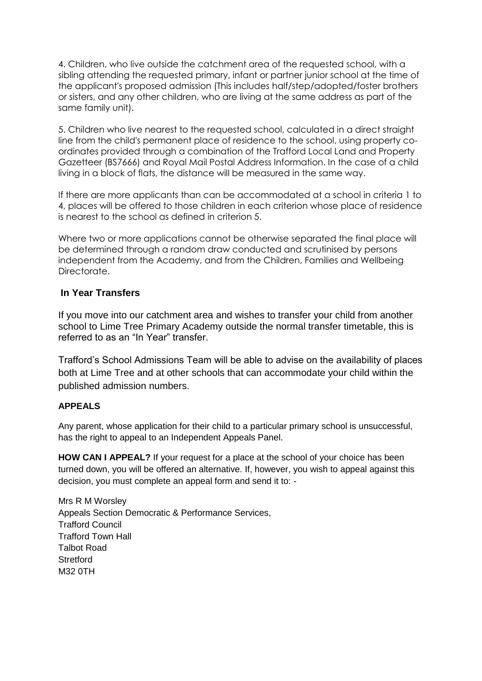4. Children, who live outside the catchment area of the requested school, with a sibling attending the requested primary, infant or partner junior school at the time of the applicant's proposed admission (This includes half/step/adopted/foster brothers or sisters, and any other children, who are living at the same address as part of the same family unit).

5. Children who live nearest to the requested school, calculated in a direct straight line from the child's permanent place of residence to the school, using property coordinates provided through a combination of the Trafford Local Land and Property Gazetteer (BS7666) and Royal Mail Postal Address Information. In the case of a child living in a block of flats, the distance will be measured in the same way.

If there are more applicants than can be accommodated at a school in criteria 1 to 4, places will be offered to those children in each criterion whose place of residence is nearest to the school as defined in criterion 5.

Where two or more applications cannot be otherwise separated the final place will be determined through a random draw conducted and scrutinised by persons independent from the Academy, and from the Children, Families and Wellbeing Directorate.

### **In Year Transfers**

If you move into our catchment area and wishes to transfer your child from another school to Lime Tree Primary Academy outside the normal transfer timetable, this is referred to as an "In Year" transfer.

Trafford's School Admissions Team will be able to advise on the availability of places both at Lime Tree and at other schools that can accommodate your child within the published admission numbers.

#### **APPEALS**

Any parent, whose application for their child to a particular primary school is unsuccessful, has the right to appeal to an Independent Appeals Panel.

**HOW CAN I APPEAL?** If your request for a place at the school of your choice has been turned down, you will be offered an alternative. If, however, you wish to appeal against this decision, you must complete an appeal form and send it to: -

Mrs R M Worsley Appeals Section Democratic & Performance Services, Trafford Council Trafford Town Hall Talbot Road **Stretford** M32 0TH